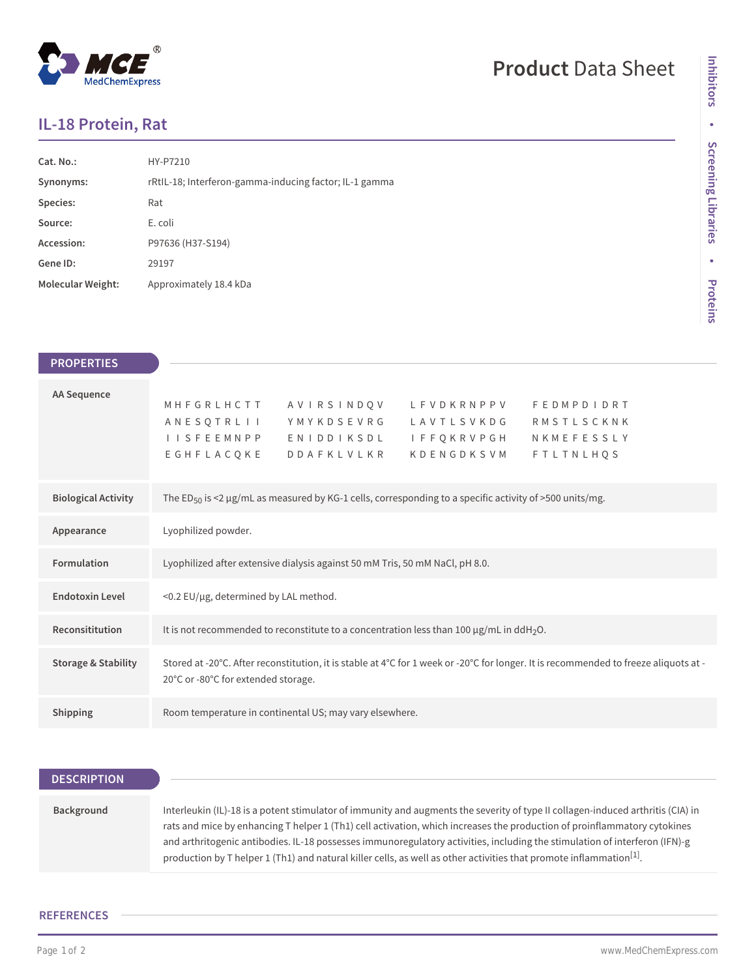## $^\circledR$ MedChemExpress

# **Product** Data Sheet

### **IL-18 Protein, Rat**

| Cat. No.:         | HY-P7210                                               |
|-------------------|--------------------------------------------------------|
| Synonyms:         | rRtIL-18; Interferon-gamma-inducing factor; IL-1 gamma |
| Species:          | Rat                                                    |
| Source:           | E. coli                                                |
| Accession:        | P97636 (H37-S194)                                      |
| Gene ID:          | 29197                                                  |
| Molecular Weight: | Approximately 18.4 kDa                                 |

| <b>PROPERTIES</b>              |
|--------------------------------|
| AA Sequence                    |
| <b>Biological Activity</b>     |
| Appearance                     |
| <b>Formulation</b>             |
| <b>Endotoxin Level</b>         |
| Reconsititution                |
| <b>Storage &amp; Stability</b> |
| <b>Shipping</b>                |

| <b>DESCRIPTION</b> |                                                                                                                                                                                                                                                                                                                                                                                                                                                                                                                              |
|--------------------|------------------------------------------------------------------------------------------------------------------------------------------------------------------------------------------------------------------------------------------------------------------------------------------------------------------------------------------------------------------------------------------------------------------------------------------------------------------------------------------------------------------------------|
|                    |                                                                                                                                                                                                                                                                                                                                                                                                                                                                                                                              |
| Background         | Interleukin (IL)-18 is a potent stimulator of immunity and augments the severity of type II collagen-induced arthritis (CIA) in<br>rats and mice by enhancing T helper 1 (Th1) cell activation, which increases the production of proinflammatory cytokines<br>and arthritogenic antibodies. IL-18 possesses immunoregulatory activities, including the stimulation of interferon (IFN)-g<br>production by T helper 1 (Th1) and natural killer cells, as well as other activities that promote inflammation <sup>[1]</sup> . |

### **REFERENCES**